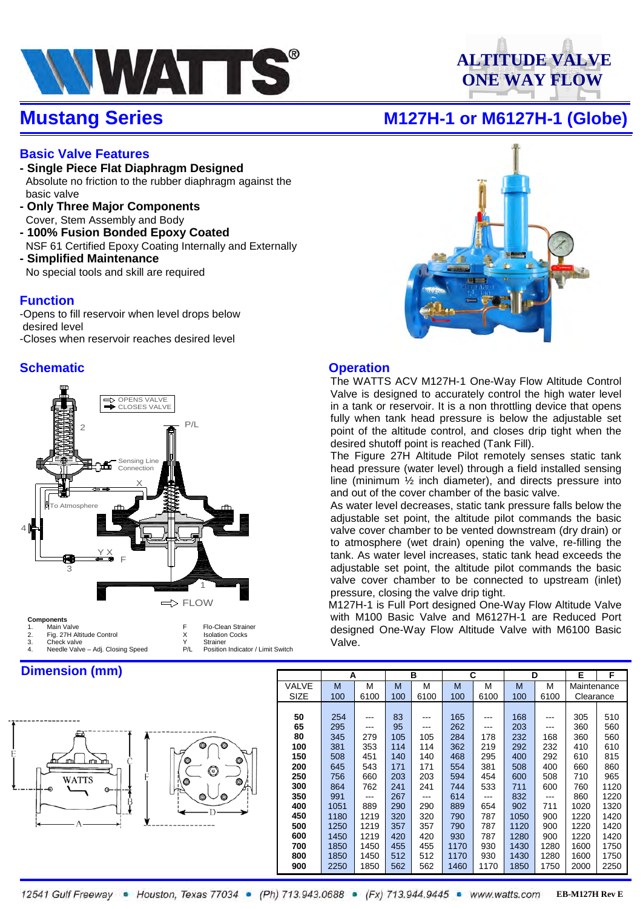

# **ALTITUDE VALVE ONE WAY FLOW**

### **Mustang Series M127H-1 or M6127H-1 (Globe)**

### **Basic Valve Features**

- **Single Piece Flat Diaphragm Designed** Absolute no friction to the rubber diaphragm against the basic valve
- **Only Three Major Components** Cover, Stem Assembly and Body
- **100% Fusion Bonded Epoxy Coated** NSF 61 Certified Epoxy Coating Internally and Externally
- **Simplified Maintenance** No special tools and skill are required

### **Function**

-Opens to fill reservoir when level drops below desired level -Closes when reservoir reaches desired level

### **Schematic Contract Operation**



F Flo-Clean Strainer<br>X Isolation Cocks **Isolation Cocks**<br>Strainer

#### **Components**

|    | iviali valv <del>o</del>  |
|----|---------------------------|
| z. | Fig. 27H Altitude Control |
|    |                           |

- 2. Check valve<br>3. Check valve Adi. Closing Speed<br>2. Position Indicator / Limit Switch Needle Valve – Adj. Closing Speed
- **Dimension (mm)**





The WATTS ACV M127H-1 One-Way Flow Altitude Control Valve is designed to accurately control the high water level in a tank or reservoir. It is a non throttling device that opens fully when tank head pressure is below the adjustable set point of the altitude control, and closes drip tight when the desired shutoff point is reached (Tank Fill).

The Figure 27H Altitude Pilot remotely senses static tank head pressure (water level) through a field installed sensing line (minimum ½ inch diameter), and directs pressure into and out of the cover chamber of the basic valve.

As water level decreases, static tank pressure falls below the adjustable set point, the altitude pilot commands the basic valve cover chamber to be vented downstream (dry drain) or to atmosphere (wet drain) opening the valve, re-filling the tank. As water level increases, static tank head exceeds the adjustable set point, the altitude pilot commands the basic valve cover chamber to be connected to upstream (inlet) pressure, closing the valve drip tight.

 M127H-1 is Full Port designed One-Way Flow Altitude Valve with M100 Basic Valve and M6127H-1 are Reduced Port designed One-Way Flow Altitude Valve with M6100 Basic Valve.

|             | А    |      | в   |      |      | C    | D    |      | Е           | F    |  |
|-------------|------|------|-----|------|------|------|------|------|-------------|------|--|
| VALVE       | M    | М    | M   | М    | M    | М    | M    | М    | Maintenance |      |  |
| <b>SIZE</b> | 100  | 6100 | 100 | 6100 | 100  | 6100 | 100  | 6100 | Clearance   |      |  |
|             |      |      |     |      |      |      |      |      |             |      |  |
| 50          | 254  |      | 83  |      | 165  |      | 168  |      | 305         | 510  |  |
| 65          | 295  | ---  | 95  |      | 262  |      | 203  | ---  | 360         | 560  |  |
| 80          | 345  | 279  | 105 | 105  | 284  | 178  | 232  | 168  | 360         | 560  |  |
| 100         | 381  | 353  | 114 | 114  | 362  | 219  | 292  | 232  | 410         | 610  |  |
| 150         | 508  | 451  | 140 | 140  | 468  | 295  | 400  | 292  | 610         | 815  |  |
| 200         | 645  | 543  | 171 | 171  | 554  | 381  | 508  | 400  | 660         | 860  |  |
| 250         | 756  | 660  | 203 | 203  | 594  | 454  | 600  | 508  | 710         | 965  |  |
| 300         | 864  | 762  | 241 | 241  | 744  | 533  | 711  | 600  | 760         | 1120 |  |
| 350         | 991  |      | 267 | ---  | 614  |      | 832  | ---  | 860         | 1220 |  |
| 400         | 1051 | 889  | 290 | 290  | 889  | 654  | 902  | 711  | 1020        | 1320 |  |
| 450         | 1180 | 1219 | 320 | 320  | 790  | 787  | 1050 | 900  | 1220        | 1420 |  |
| 500         | 1250 | 1219 | 357 | 357  | 790  | 787  | 1120 | 900  | 1220        | 1420 |  |
| 600         | 1450 | 1219 | 420 | 420  | 930  | 787  | 1280 | 900  | 1220        | 1420 |  |
| 700         | 1850 | 1450 | 455 | 455  | 1170 | 930  | 1430 | 1280 | 1600        | 1750 |  |
| 800         | 1850 | 1450 | 512 | 512  | 1170 | 930  | 1430 | 1280 | 1600        | 1750 |  |
| 900         | 2250 | 1850 | 562 | 562  | 1460 | 1170 | 1850 | 1750 | 2000        | 2250 |  |

12541 Gulf Freeway • Houston, Texas 77034 • (Ph) 713.943.0688 • (Fx) 713.944.9445 • www.watts.com EB-M127H Rev E